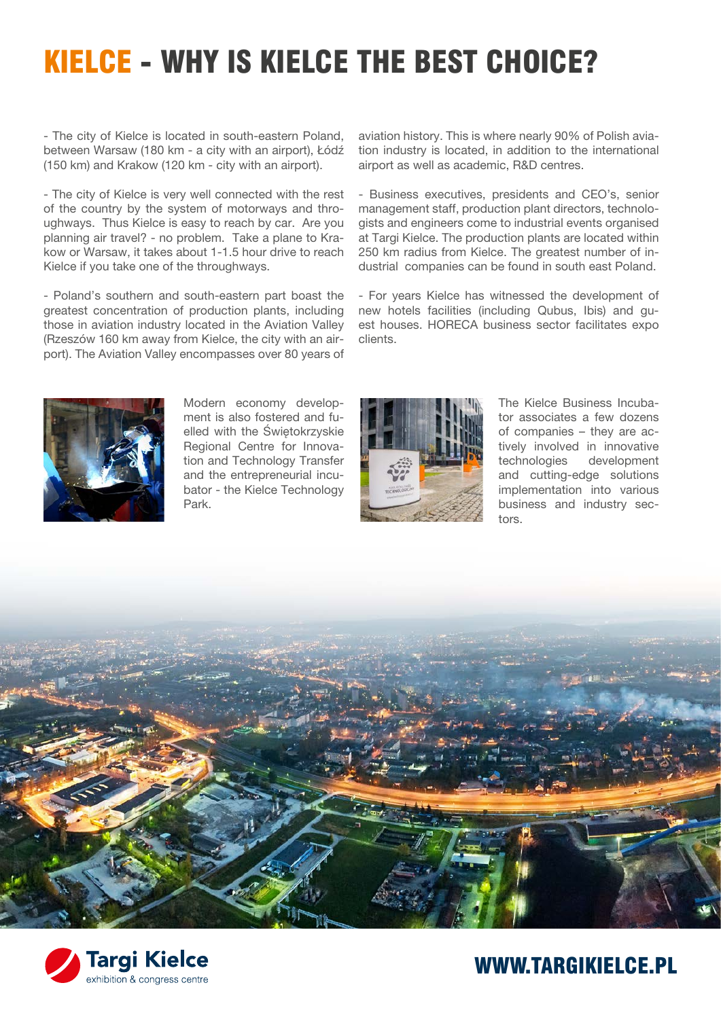# KIELCE - WHY IS KIELCE THE BEST CHOICE?

- The city of Kielce is located in south-eastern Poland, between Warsaw (180 km - a city with an airport), Łódź (150 km) and Krakow (120 km - city with an airport).

- The city of Kielce is very well connected with the rest of the country by the system of motorways and throughways. Thus Kielce is easy to reach by car. Are you planning air travel? - no problem. Take a plane to Krakow or Warsaw, it takes about 1-1.5 hour drive to reach Kielce if you take one of the throughways.

- Poland's southern and south-eastern part boast the greatest concentration of production plants, including those in aviation industry located in the Aviation Valley (Rzeszów 160 km away from Kielce, the city with an airport). The Aviation Valley encompasses over 80 years of



Modern economy development is also fostered and fuelled with the Świętokrzyskie Regional Centre for Innovation and Technology Transfer and the entrepreneurial incubator - the Kielce Technology Park.

aviation history. This is where nearly 90% of Polish aviation industry is located, in addition to the international airport as well as academic, R&D centres.

- Business executives, presidents and CEO's, senior management staff, production plant directors, technologists and engineers come to industrial events organised at Targi Kielce. The production plants are located within 250 km radius from Kielce. The greatest number of industrial companies can be found in south east Poland.

- For years Kielce has witnessed the development of new hotels facilities (including Qubus, Ibis) and guest houses. HORECA business sector facilitates expo clients.



The Kielce Business Incubator associates a few dozens of companies – they are actively involved in innovative technologies development and cutting-edge solutions implementation into various business and industry sectors.





#### WWW.TARGIKIELCE.PL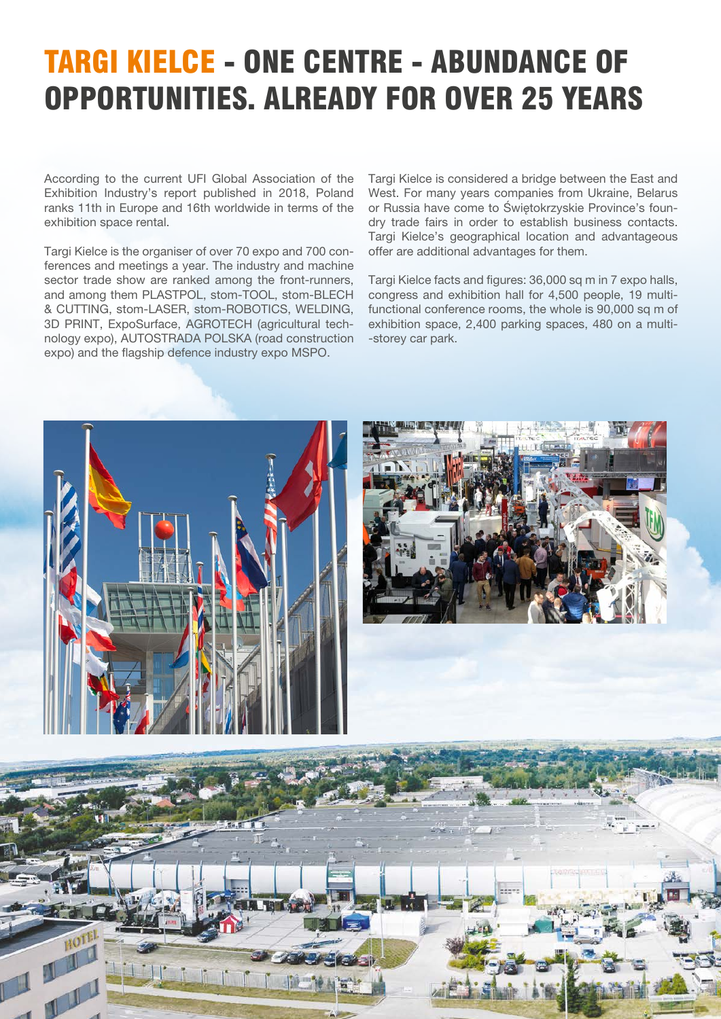# TARGI KIELCE - ONE CENTRE - ABUNDANCE OF OPPORTUNITIES. ALREADY FOR OVER 25 YEARS

According to the current UFI Global Association of the Exhibition Industry's report published in 2018, Poland ranks 11th in Europe and 16th worldwide in terms of the exhibition space rental.

Targi Kielce is the organiser of over 70 expo and 700 conferences and meetings a year. The industry and machine sector trade show are ranked among the front-runners, and among them PLASTPOL, stom-TOOL, stom-BLECH & CUTTING, stom-LASER, stom-ROBOTICS, WELDING, 3D PRINT, ExpoSurface, AGROTECH (agricultural technology expo), AUTOSTRADA POLSKA (road construction expo) and the flagship defence industry expo MSPO.

Targi Kielce is considered a bridge between the East and West. For many years companies from Ukraine, Belarus or Russia have come to Świętokrzyskie Province's foundry trade fairs in order to establish business contacts. Targi Kielce's geographical location and advantageous offer are additional advantages for them.

Targi Kielce facts and figures: 36,000 sq m in 7 expo halls, congress and exhibition hall for 4,500 people, 19 multifunctional conference rooms, the whole is 90,000 sq m of exhibition space, 2,400 parking spaces, 480 on a multi- -storey car park.

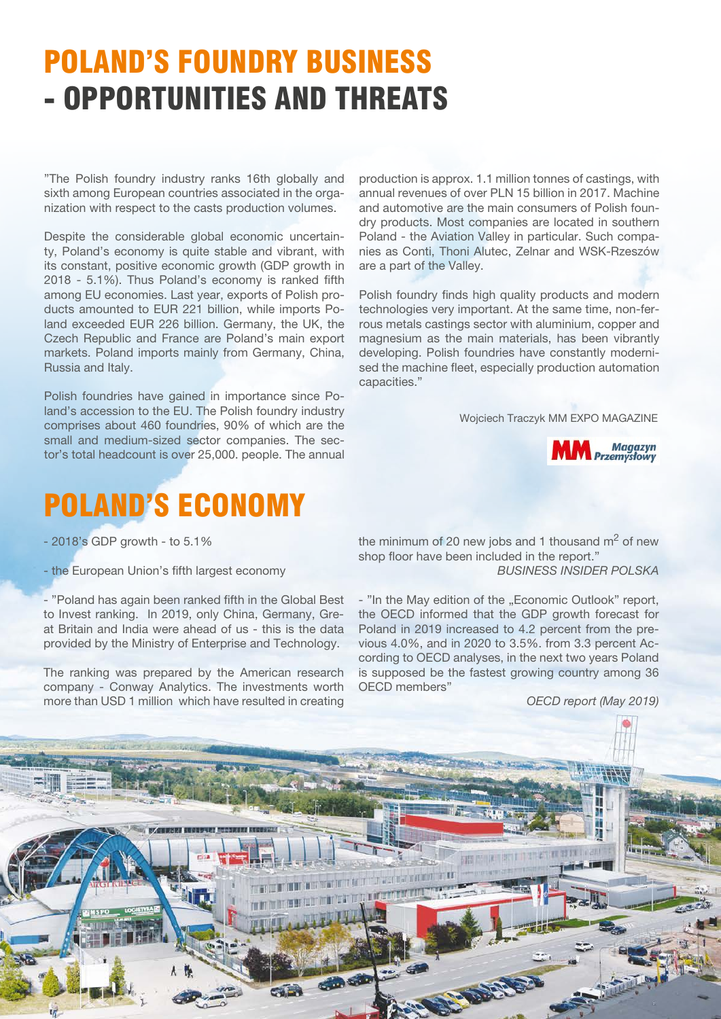### POLAND'S FOUNDRY BUSINESS - OPPORTUNITIES AND THREATS

"The Polish foundry industry ranks 16th globally and sixth among European countries associated in the organization with respect to the casts production volumes.

Despite the considerable global economic uncertainty, Poland's economy is quite stable and vibrant, with its constant, positive economic growth (GDP growth in 2018 - 5.1%). Thus Poland's economy is ranked fifth among EU economies. Last year, exports of Polish products amounted to EUR 221 billion, while imports Poland exceeded EUR 226 billion. Germany, the UK, the Czech Republic and France are Poland's main export markets. Poland imports mainly from Germany, China, Russia and Italy.

Polish foundries have gained in importance since Poland's accession to the EU. The Polish foundry industry comprises about 460 foundries, 90% of which are the small and medium-sized sector companies. The sector's total headcount is over 25,000. people. The annual



production is approx. 1.1 million tonnes of castings, with

Polish foundry finds high quality products and modern technologies very important. At the same time, non-ferrous metals castings sector with aluminium, copper and magnesium as the main materials, has been vibrantly developing. Polish foundries have constantly modernised the machine fleet, especially production automation capacities."

Wojciech Traczyk MM EXPO MAGAZINE



#### POLAND'S ECONOMY

- 2018's GDP growth - to 5.1%

- the European Union's fifth largest economy

- "Poland has again been ranked fifth in the Global Best to Invest ranking. In 2019, only China, Germany, Great Britain and India were ahead of us - this is the data provided by the Ministry of Enterprise and Technology.

The ranking was prepared by the American research company - Conway Analytics. The investments worth more than USD 1 million which have resulted in creating the minimum of 20 new jobs and 1 thousand  $m<sup>2</sup>$  of new shop floor have been included in the report." *BUSINESS INSIDER POLSKA*

- "In the May edition of the "Economic Outlook" report, the OECD informed that the GDP growth forecast for Poland in 2019 increased to 4.2 percent from the previous 4.0%, and in 2020 to 3.5%. from 3.3 percent According to OECD analyses, in the next two years Poland is supposed be the fastest growing country among 36 OECD members"

*OECD report (May 2019)*